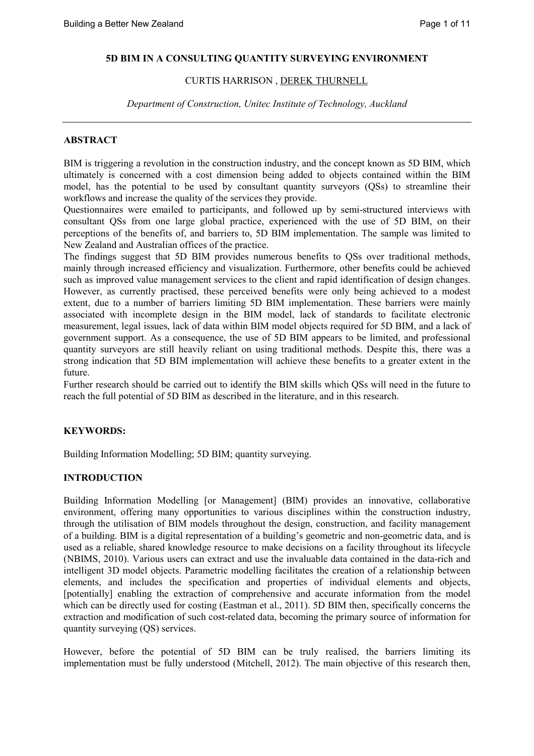### **5D BIM IN A CONSULTING QUANTITY SURVEYING ENVIRONMENT**

## CURTIS HARRISON , DEREK THURNELL

*Department of Construction, Unitec Institute of Technology, Auckland*

## **ABSTRACT**

BIM is triggering a revolution in the construction industry, and the concept known as 5D BIM, which ultimately is concerned with a cost dimension being added to objects contained within the BIM model, has the potential to be used by consultant quantity surveyors (QSs) to streamline their workflows and increase the quality of the services they provide.

Questionnaires were emailed to participants, and followed up by semi-structured interviews with consultant QSs from one large global practice, experienced with the use of 5D BIM, on their perceptions of the benefits of, and barriers to, 5D BIM implementation. The sample was limited to New Zealand and Australian offices of the practice.

The findings suggest that 5D BIM provides numerous benefits to QSs over traditional methods, mainly through increased efficiency and visualization. Furthermore, other benefits could be achieved such as improved value management services to the client and rapid identification of design changes. However, as currently practised, these perceived benefits were only being achieved to a modest extent, due to a number of barriers limiting 5D BIM implementation. These barriers were mainly associated with incomplete design in the BIM model, lack of standards to facilitate electronic measurement, legal issues, lack of data within BIM model objects required for 5D BIM, and a lack of government support. As a consequence, the use of 5D BIM appears to be limited, and professional quantity surveyors are still heavily reliant on using traditional methods. Despite this, there was a strong indication that 5D BIM implementation will achieve these benefits to a greater extent in the future.

Further research should be carried out to identify the BIM skills which QSs will need in the future to reach the full potential of 5D BIM as described in the literature, and in this research.

### **KEYWORDS:**

Building Information Modelling; 5D BIM; quantity surveying.

## **INTRODUCTION**

Building Information Modelling [or Management] (BIM) provides an innovative, collaborative environment, offering many opportunities to various disciplines within the construction industry, through the utilisation of BIM models throughout the design, construction, and facility management of a building. BIM is a digital representation of a building's geometric and non-geometric data, and is used as a reliable, shared knowledge resource to make decisions on a facility throughout its lifecycle (NBIMS, 2010). Various users can extract and use the invaluable data contained in the data-rich and intelligent 3D model objects. Parametric modelling facilitates the creation of a relationship between elements, and includes the specification and properties of individual elements and objects, [potentially] enabling the extraction of comprehensive and accurate information from the model which can be directly used for costing (Eastman et al., 2011). 5D BIM then, specifically concerns the extraction and modification of such cost-related data, becoming the primary source of information for quantity surveying (QS) services.

However, before the potential of 5D BIM can be truly realised, the barriers limiting its implementation must be fully understood (Mitchell, 2012). The main objective of this research then,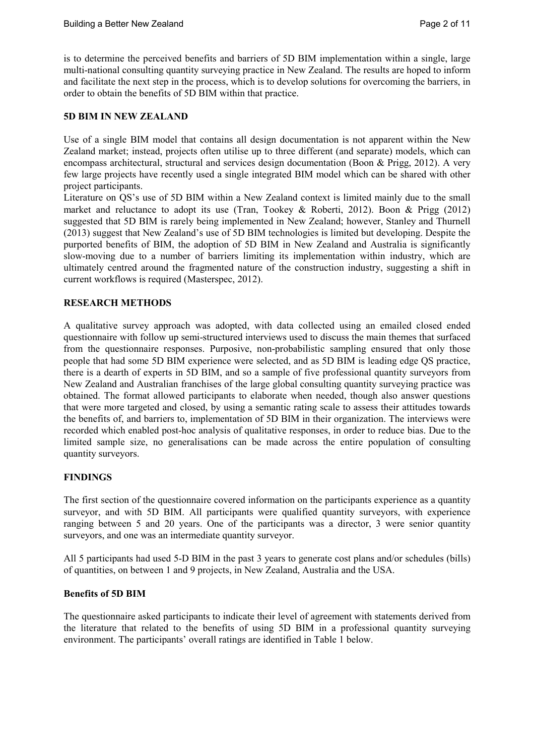is to determine the perceived benefits and barriers of 5D BIM implementation within a single, large multi-national consulting quantity surveying practice in New Zealand. The results are hoped to inform and facilitate the next step in the process, which is to develop solutions for overcoming the barriers, in order to obtain the benefits of 5D BIM within that practice.

### **5D BIM IN NEW ZEALAND**

Use of a single BIM model that contains all design documentation is not apparent within the New Zealand market; instead, projects often utilise up to three different (and separate) models, which can encompass architectural, structural and services design documentation (Boon & Prigg, 2012). A very few large projects have recently used a single integrated BIM model which can be shared with other project participants.

Literature on QS's use of 5D BIM within a New Zealand context is limited mainly due to the small market and reluctance to adopt its use (Tran, Tookey & Roberti, 2012). Boon & Prigg (2012) suggested that 5D BIM is rarely being implemented in New Zealand; however, Stanley and Thurnell (2013) suggest that New Zealand's use of 5D BIM technologies is limited but developing. Despite the purported benefits of BIM, the adoption of 5D BIM in New Zealand and Australia is significantly slow-moving due to a number of barriers limiting its implementation within industry, which are ultimately centred around the fragmented nature of the construction industry, suggesting a shift in current workflows is required (Masterspec, 2012).

#### **RESEARCH METHODS**

A qualitative survey approach was adopted, with data collected using an emailed closed ended questionnaire with follow up semi-structured interviews used to discuss the main themes that surfaced from the questionnaire responses. Purposive, non-probabilistic sampling ensured that only those people that had some 5D BIM experience were selected, and as 5D BIM is leading edge QS practice, there is a dearth of experts in 5D BIM, and so a sample of five professional quantity surveyors from New Zealand and Australian franchises of the large global consulting quantity surveying practice was obtained. The format allowed participants to elaborate when needed, though also answer questions that were more targeted and closed, by using a semantic rating scale to assess their attitudes towards the benefits of, and barriers to, implementation of 5D BIM in their organization. The interviews were recorded which enabled post-hoc analysis of qualitative responses, in order to reduce bias. Due to the limited sample size, no generalisations can be made across the entire population of consulting quantity surveyors.

### **FINDINGS**

The first section of the questionnaire covered information on the participants experience as a quantity surveyor, and with 5D BIM. All participants were qualified quantity surveyors, with experience ranging between 5 and 20 years. One of the participants was a director, 3 were senior quantity surveyors, and one was an intermediate quantity surveyor.

All 5 participants had used 5-D BIM in the past 3 years to generate cost plans and/or schedules (bills) of quantities, on between 1 and 9 projects, in New Zealand, Australia and the USA.

#### **Benefits of 5D BIM**

The questionnaire asked participants to indicate their level of agreement with statements derived from the literature that related to the benefits of using 5D BIM in a professional quantity surveying environment. The participants' overall ratings are identified in Table 1 below.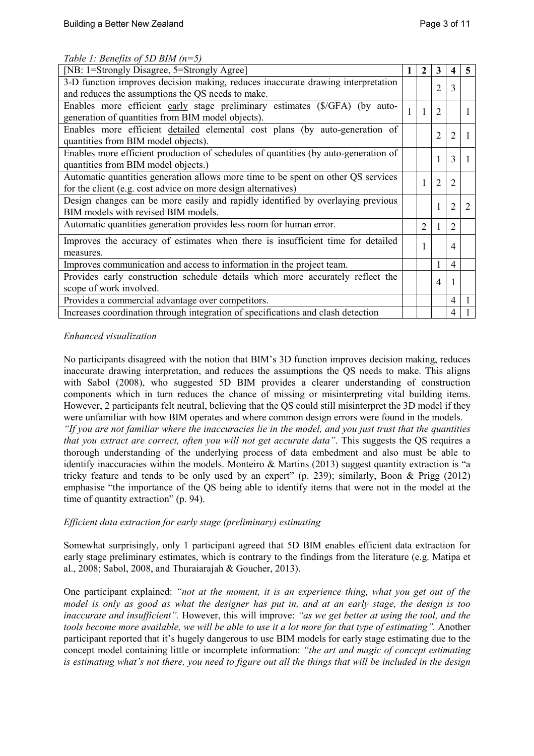|  | Table 1: Benefits of 5D BIM $(n=5)$ |  |  |
|--|-------------------------------------|--|--|
|  |                                     |  |  |

| [NB: 1=Strongly Disagree, 5=Strongly Agree]                                                                                                        |  |  | 3              | 4              | 5 |
|----------------------------------------------------------------------------------------------------------------------------------------------------|--|--|----------------|----------------|---|
| 3-D function improves decision making, reduces inaccurate drawing interpretation<br>and reduces the assumptions the QS needs to make.              |  |  | $\overline{2}$ | 3              |   |
| Enables more efficient early stage preliminary estimates (\$/GFA) (by auto-<br>generation of quantities from BIM model objects).                   |  |  | $\overline{2}$ |                |   |
| Enables more efficient detailed elemental cost plans (by auto-generation of<br>quantities from BIM model objects).                                 |  |  | $\overline{2}$ | 2              |   |
| Enables more efficient production of schedules of quantities (by auto-generation of<br>quantities from BIM model objects.)                         |  |  | 1              | 3              |   |
| Automatic quantities generation allows more time to be spent on other QS services<br>for the client (e.g. cost advice on more design alternatives) |  |  | $\overline{2}$ | 2              |   |
| Design changes can be more easily and rapidly identified by overlaying previous<br>BIM models with revised BIM models.                             |  |  | 1              | $\overline{2}$ |   |
| Automatic quantities generation provides less room for human error.                                                                                |  |  | 1              | 2              |   |
| Improves the accuracy of estimates when there is insufficient time for detailed<br>measures.                                                       |  |  |                | 4              |   |
| Improves communication and access to information in the project team.                                                                              |  |  | 1              | $\overline{4}$ |   |
| Provides early construction schedule details which more accurately reflect the<br>scope of work involved.                                          |  |  | $\overline{4}$ |                |   |
| Provides a commercial advantage over competitors.                                                                                                  |  |  |                | 4              |   |
| Increases coordination through integration of specifications and clash detection                                                                   |  |  |                | 4              |   |

## *Enhanced visualization*

No participants disagreed with the notion that BIM's 3D function improves decision making, reduces inaccurate drawing interpretation, and reduces the assumptions the QS needs to make. This aligns with Sabol (2008), who suggested 5D BIM provides a clearer understanding of construction components which in turn reduces the chance of missing or misinterpreting vital building items. However, 2 participants felt neutral, believing that the QS could still misinterpret the 3D model if they were unfamiliar with how BIM operates and where common design errors were found in the models.

*"If you are not familiar where the inaccuracies lie in the model, and you just trust that the quantities that you extract are correct, often you will not get accurate data"*. This suggests the QS requires a thorough understanding of the underlying process of data embedment and also must be able to identify inaccuracies within the models. Monteiro & Martins (2013) suggest quantity extraction is "a tricky feature and tends to be only used by an expert" (p. 239); similarly, Boon & Prigg (2012) emphasise "the importance of the QS being able to identify items that were not in the model at the time of quantity extraction" (p. 94).

### *Efficient data extraction for early stage (preliminary) estimating*

Somewhat surprisingly, only 1 participant agreed that 5D BIM enables efficient data extraction for early stage preliminary estimates, which is contrary to the findings from the literature (e.g. Matipa et al., 2008; Sabol, 2008, and Thuraiarajah & Goucher, 2013).

One participant explained: *"not at the moment, it is an experience thing, what you get out of the model is only as good as what the designer has put in, and at an early stage, the design is too inaccurate and insufficient".* However, this will improve: *"as we get better at using the tool, and the tools become more available, we will be able to use it a lot more for that type of estimating".* Another participant reported that it's hugely dangerous to use BIM models for early stage estimating due to the concept model containing little or incomplete information: *"the art and magic of concept estimating is estimating what's not there, you need to figure out all the things that will be included in the design*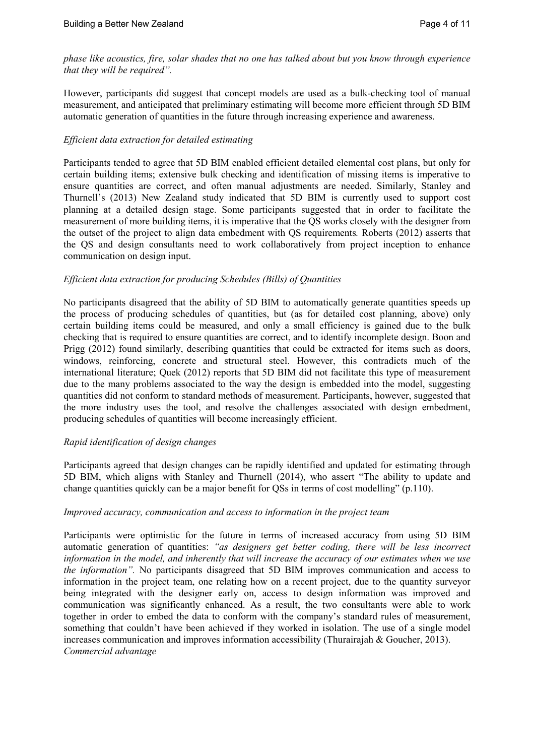*phase like acoustics, fire, solar shades that no one has talked about but you know through experience that they will be required".*

However, participants did suggest that concept models are used as a bulk-checking tool of manual measurement, and anticipated that preliminary estimating will become more efficient through 5D BIM automatic generation of quantities in the future through increasing experience and awareness.

## *Efficient data extraction for detailed estimating*

Participants tended to agree that 5D BIM enabled efficient detailed elemental cost plans, but only for certain building items; extensive bulk checking and identification of missing items is imperative to ensure quantities are correct, and often manual adjustments are needed. Similarly, Stanley and Thurnell's (2013) New Zealand study indicated that 5D BIM is currently used to support cost planning at a detailed design stage. Some participants suggested that in order to facilitate the measurement of more building items, it is imperative that the QS works closely with the designer from the outset of the project to align data embedment with QS requirements*.* Roberts (2012) asserts that the QS and design consultants need to work collaboratively from project inception to enhance communication on design input.

## *Efficient data extraction for producing Schedules (Bills) of Quantities*

No participants disagreed that the ability of 5D BIM to automatically generate quantities speeds up the process of producing schedules of quantities, but (as for detailed cost planning, above) only certain building items could be measured, and only a small efficiency is gained due to the bulk checking that is required to ensure quantities are correct, and to identify incomplete design. Boon and Prigg (2012) found similarly, describing quantities that could be extracted for items such as doors, windows, reinforcing, concrete and structural steel. However, this contradicts much of the international literature; Quek (2012) reports that 5D BIM did not facilitate this type of measurement due to the many problems associated to the way the design is embedded into the model, suggesting quantities did not conform to standard methods of measurement. Participants, however, suggested that the more industry uses the tool, and resolve the challenges associated with design embedment, producing schedules of quantities will become increasingly efficient.

### *Rapid identification of design changes*

Participants agreed that design changes can be rapidly identified and updated for estimating through 5D BIM, which aligns with Stanley and Thurnell (2014), who assert "The ability to update and change quantities quickly can be a major benefit for QSs in terms of cost modelling" (p.110).

### *Improved accuracy, communication and access to information in the project team*

Participants were optimistic for the future in terms of increased accuracy from using 5D BIM automatic generation of quantities: *"as designers get better coding, there will be less incorrect information in the model, and inherently that will increase the accuracy of our estimates when we use the information".* No participants disagreed that 5D BIM improves communication and access to information in the project team, one relating how on a recent project, due to the quantity surveyor being integrated with the designer early on, access to design information was improved and communication was significantly enhanced. As a result, the two consultants were able to work together in order to embed the data to conform with the company's standard rules of measurement, something that couldn't have been achieved if they worked in isolation. The use of a single model increases communication and improves information accessibility (Thurairajah & Goucher, 2013). *Commercial advantage*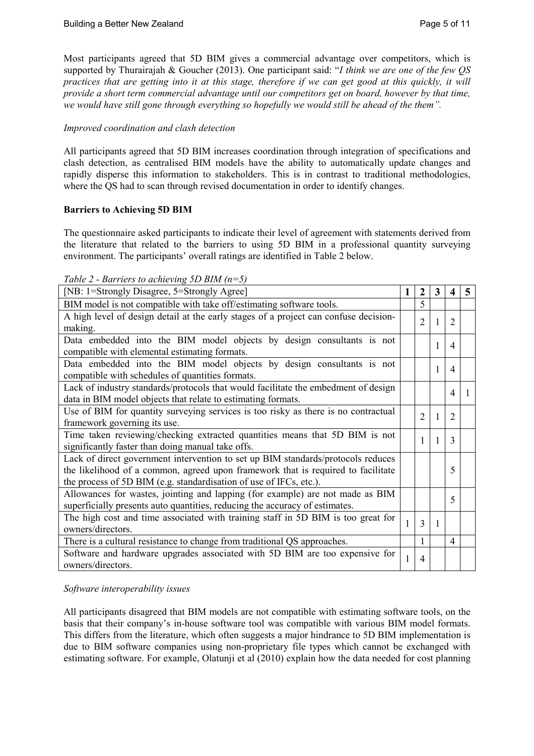Most participants agreed that 5D BIM gives a commercial advantage over competitors, which is supported by Thurairajah & Goucher (2013). One participant said: "*I think we are one of the few QS practices that are getting into it at this stage, therefore if we can get good at this quickly, it will provide a short term commercial advantage until our competitors get on board, however by that time, we would have still gone through everything so hopefully we would still be ahead of the them".*

## *Improved coordination and clash detection*

All participants agreed that 5D BIM increases coordination through integration of specifications and clash detection, as centralised BIM models have the ability to automatically update changes and rapidly disperse this information to stakeholders. This is in contrast to traditional methodologies, where the QS had to scan through revised documentation in order to identify changes.

# **Barriers to Achieving 5D BIM**

The questionnaire asked participants to indicate their level of agreement with statements derived from the literature that related to the barriers to using 5D BIM in a professional quantity surveying environment. The participants' overall ratings are identified in Table 2 below.

| Table 2 - Barriers to achieving 5D BIM $(n=5)$ |  |  |  |
|------------------------------------------------|--|--|--|
|------------------------------------------------|--|--|--|

| [NB: 1=Strongly Disagree, 5=Strongly Agree]                                                                                                                                                                                                |  |  | 3 | 4                           | 5 |
|--------------------------------------------------------------------------------------------------------------------------------------------------------------------------------------------------------------------------------------------|--|--|---|-----------------------------|---|
| BIM model is not compatible with take off/estimating software tools.                                                                                                                                                                       |  |  |   |                             |   |
| A high level of design detail at the early stages of a project can confuse decision-<br>making.                                                                                                                                            |  |  | 1 | $\overline{2}$              |   |
| Data embedded into the BIM model objects by design consultants is not<br>compatible with elemental estimating formats.                                                                                                                     |  |  |   | $\overline{4}$              |   |
| Data embedded into the BIM model objects by design consultants is not<br>compatible with schedules of quantities formats.                                                                                                                  |  |  | 1 | $\overline{A}$              |   |
| Lack of industry standards/protocols that would facilitate the embedment of design<br>data in BIM model objects that relate to estimating formats.                                                                                         |  |  |   | $\boldsymbol{\vartriangle}$ |   |
| Use of BIM for quantity surveying services is too risky as there is no contractual<br>framework governing its use.                                                                                                                         |  |  | 1 | $\overline{2}$              |   |
| Time taken reviewing/checking extracted quantities means that 5D BIM is not<br>significantly faster than doing manual take offs.                                                                                                           |  |  |   | $\mathcal{E}$               |   |
| Lack of direct government intervention to set up BIM standards/protocols reduces<br>the likelihood of a common, agreed upon framework that is required to facilitate<br>the process of 5D BIM (e.g. standardisation of use of IFCs, etc.). |  |  |   | 5                           |   |
| Allowances for wastes, jointing and lapping (for example) are not made as BIM<br>superficially presents auto quantities, reducing the accuracy of estimates.                                                                               |  |  |   | 5                           |   |
| The high cost and time associated with training staff in 5D BIM is too great for<br>owners/directors.                                                                                                                                      |  |  | 1 |                             |   |
| There is a cultural resistance to change from traditional QS approaches.                                                                                                                                                                   |  |  |   | $\overline{4}$              |   |
| Software and hardware upgrades associated with 5D BIM are too expensive for<br>owners/directors.                                                                                                                                           |  |  |   |                             |   |

# *Software interoperability issues*

All participants disagreed that BIM models are not compatible with estimating software tools, on the basis that their company's in-house software tool was compatible with various BIM model formats. This differs from the literature, which often suggests a major hindrance to 5D BIM implementation is due to BIM software companies using non-proprietary file types which cannot be exchanged with estimating software. For example, Olatunji et al (2010) explain how the data needed for cost planning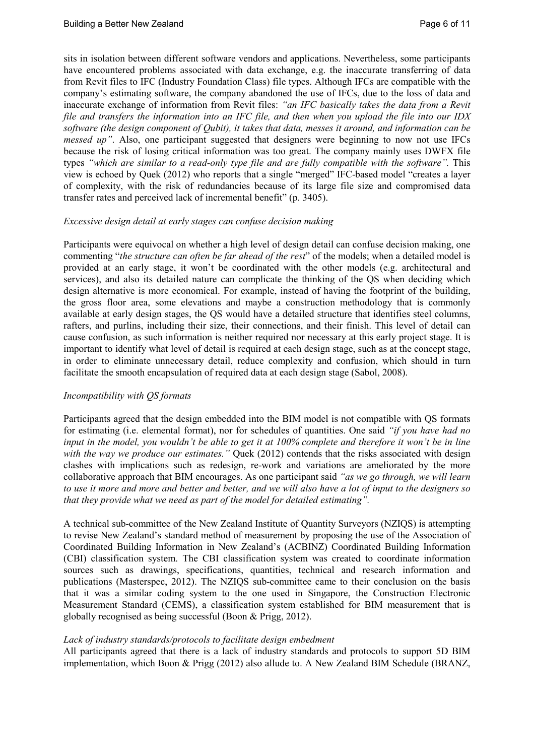sits in isolation between different software vendors and applications. Nevertheless, some participants have encountered problems associated with data exchange, e.g. the inaccurate transferring of data from Revit files to IFC (Industry Foundation Class) file types. Although IFCs are compatible with the company's estimating software, the company abandoned the use of IFCs, due to the loss of data and inaccurate exchange of information from Revit files: *"an IFC basically takes the data from a Revit file and transfers the information into an IFC file, and then when you upload the file into our IDX software (the design component of Qubit), it takes that data, messes it around, and information can be messed up"*. Also, one participant suggested that designers were beginning to now not use IFCs because the risk of losing critical information was too great. The company mainly uses DWFX file types *"which are similar to a read-only type file and are fully compatible with the software".* This view is echoed by Quek (2012) who reports that a single "merged" IFC-based model "creates a layer of complexity, with the risk of redundancies because of its large file size and compromised data transfer rates and perceived lack of incremental benefit" (p. 3405).

## *Excessive design detail at early stages can confuse decision making*

Participants were equivocal on whether a high level of design detail can confuse decision making, one commenting "*the structure can often be far ahead of the rest*" of the models; when a detailed model is provided at an early stage, it won't be coordinated with the other models (e.g. architectural and services), and also its detailed nature can complicate the thinking of the QS when deciding which design alternative is more economical. For example, instead of having the footprint of the building, the gross floor area, some elevations and maybe a construction methodology that is commonly available at early design stages, the QS would have a detailed structure that identifies steel columns, rafters, and purlins, including their size, their connections, and their finish. This level of detail can cause confusion, as such information is neither required nor necessary at this early project stage. It is important to identify what level of detail is required at each design stage, such as at the concept stage, in order to eliminate unnecessary detail, reduce complexity and confusion, which should in turn facilitate the smooth encapsulation of required data at each design stage (Sabol, 2008).

### *Incompatibility with QS formats*

Participants agreed that the design embedded into the BIM model is not compatible with QS formats for estimating (i.e. elemental format), nor for schedules of quantities. One said *"if you have had no input in the model, you wouldn't be able to get it at 100% complete and therefore it won't be in line* with the way we produce our estimates." Quek (2012) contends that the risks associated with design clashes with implications such as redesign, re-work and variations are ameliorated by the more collaborative approach that BIM encourages. As one participant said *"as we go through, we will learn to use it more and more and better and better, and we will also have a lot of input to the designers so that they provide what we need as part of the model for detailed estimating".*

A technical sub-committee of the New Zealand Institute of Quantity Surveyors (NZIQS) is attempting to revise New Zealand's standard method of measurement by proposing the use of the Association of Coordinated Building Information in New Zealand's (ACBINZ) Coordinated Building Information (CBI) classification system. The CBI classification system was created to coordinate information sources such as drawings, specifications, quantities, technical and research information and publications (Masterspec, 2012). The NZIQS sub-committee came to their conclusion on the basis that it was a similar coding system to the one used in Singapore, the Construction Electronic Measurement Standard (CEMS), a classification system established for BIM measurement that is globally recognised as being successful (Boon & Prigg, 2012).

### *Lack of industry standards/protocols to facilitate design embedment*

All participants agreed that there is a lack of industry standards and protocols to support 5D BIM implementation, which Boon & Prigg (2012) also allude to. A New Zealand BIM Schedule (BRANZ,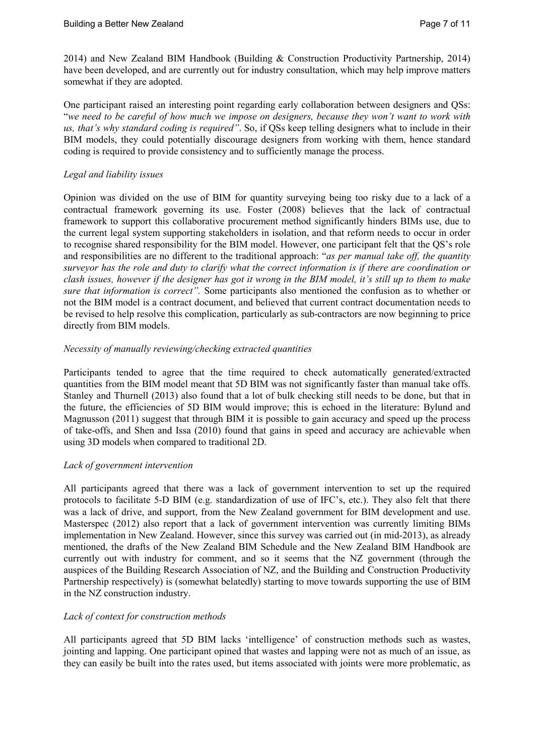2014) and New Zealand BIM Handbook (Building & Construction Productivity Partnership, 2014) have been developed, and are currently out for industry consultation, which may help improve matters somewhat if they are adopted.

One participant raised an interesting point regarding early collaboration between designers and QSs: "*we need to be careful of how much we impose on designers, because they won't want to work with us, that's why standard coding is required"*. So, if QSs keep telling designers what to include in their BIM models, they could potentially discourage designers from working with them, hence standard coding is required to provide consistency and to sufficiently manage the process.

## *Legal and liability issues*

Opinion was divided on the use of BIM for quantity surveying being too risky due to a lack of a contractual framework governing its use. Foster (2008) believes that the lack of contractual framework to support this collaborative procurement method significantly hinders BIMs use, due to the current legal system supporting stakeholders in isolation, and that reform needs to occur in order to recognise shared responsibility for the BIM model. However, one participant felt that the QS's role and responsibilities are no different to the traditional approach: "*as per manual take off, the quantity surveyor has the role and duty to clarify what the correct information is if there are coordination or clash issues, however if the designer has got it wrong in the BIM model, it's still up to them to make sure that information is correct".* Some participants also mentioned the confusion as to whether or not the BIM model is a contract document, and believed that current contract documentation needs to be revised to help resolve this complication, particularly as sub-contractors are now beginning to price directly from BIM models.

## *Necessity of manually reviewing/checking extracted quantities*

Participants tended to agree that the time required to check automatically generated/extracted quantities from the BIM model meant that 5D BIM was not significantly faster than manual take offs. Stanley and Thurnell (2013) also found that a lot of bulk checking still needs to be done, but that in the future, the efficiencies of 5D BIM would improve; this is echoed in the literature: Bylund and Magnusson (2011) suggest that through BIM it is possible to gain accuracy and speed up the process of take-offs, and Shen and Issa (2010) found that gains in speed and accuracy are achievable when using 3D models when compared to traditional 2D.

### *Lack of government intervention*

All participants agreed that there was a lack of government intervention to set up the required protocols to facilitate 5-D BIM (e.g. standardization of use of IFC's, etc.). They also felt that there was a lack of drive, and support, from the New Zealand government for BIM development and use. Masterspec (2012) also report that a lack of government intervention was currently limiting BIMs implementation in New Zealand. However, since this survey was carried out (in mid-2013), as already mentioned, the drafts of the New Zealand BIM Schedule and the New Zealand BIM Handbook are currently out with industry for comment, and so it seems that the NZ government (through the auspices of the Building Research Association of NZ, and the Building and Construction Productivity Partnership respectively) is (somewhat belatedly) starting to move towards supporting the use of BIM in the NZ construction industry.

### *Lack of context for construction methods*

All participants agreed that 5D BIM lacks 'intelligence' of construction methods such as wastes, jointing and lapping. One participant opined that wastes and lapping were not as much of an issue, as they can easily be built into the rates used, but items associated with joints were more problematic, as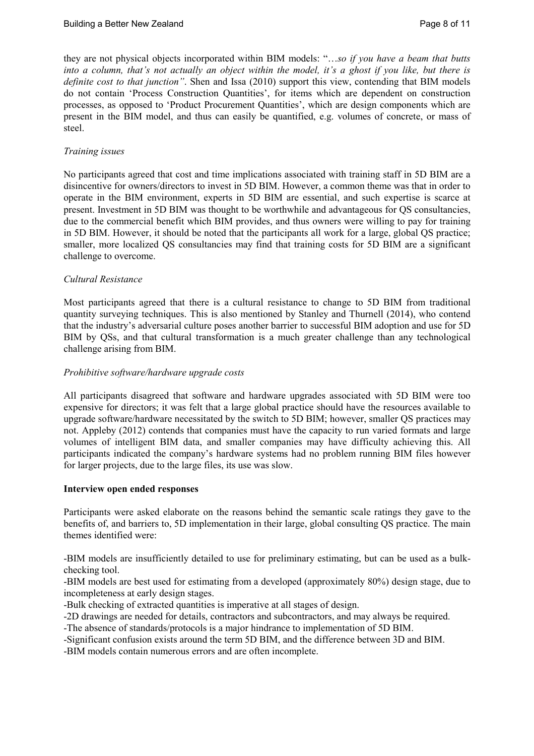they are not physical objects incorporated within BIM models: "…*so if you have a beam that butts into a column, that's not actually an object within the model, it's a ghost if you like, but there is definite cost to that junction"*. Shen and Issa (2010) support this view, contending that BIM models do not contain 'Process Construction Quantities', for items which are dependent on construction processes, as opposed to 'Product Procurement Quantities', which are design components which are present in the BIM model, and thus can easily be quantified, e.g. volumes of concrete, or mass of steel.

# *Training issues*

No participants agreed that cost and time implications associated with training staff in 5D BIM are a disincentive for owners/directors to invest in 5D BIM. However, a common theme was that in order to operate in the BIM environment, experts in 5D BIM are essential, and such expertise is scarce at present. Investment in 5D BIM was thought to be worthwhile and advantageous for QS consultancies, due to the commercial benefit which BIM provides, and thus owners were willing to pay for training in 5D BIM. However, it should be noted that the participants all work for a large, global QS practice; smaller, more localized QS consultancies may find that training costs for 5D BIM are a significant challenge to overcome.

## *Cultural Resistance*

Most participants agreed that there is a cultural resistance to change to 5D BIM from traditional quantity surveying techniques. This is also mentioned by Stanley and Thurnell (2014), who contend that the industry's adversarial culture poses another barrier to successful BIM adoption and use for 5D BIM by QSs, and that cultural transformation is a much greater challenge than any technological challenge arising from BIM.

## *Prohibitive software/hardware upgrade costs*

All participants disagreed that software and hardware upgrades associated with 5D BIM were too expensive for directors; it was felt that a large global practice should have the resources available to upgrade software/hardware necessitated by the switch to 5D BIM; however, smaller QS practices may not. Appleby (2012) contends that companies must have the capacity to run varied formats and large volumes of intelligent BIM data, and smaller companies may have difficulty achieving this. All participants indicated the company's hardware systems had no problem running BIM files however for larger projects, due to the large files, its use was slow.

### **Interview open ended responses**

Participants were asked elaborate on the reasons behind the semantic scale ratings they gave to the benefits of, and barriers to, 5D implementation in their large, global consulting QS practice. The main themes identified were:

-BIM models are insufficiently detailed to use for preliminary estimating, but can be used as a bulkchecking tool.

-BIM models are best used for estimating from a developed (approximately 80%) design stage, due to incompleteness at early design stages.

-Bulk checking of extracted quantities is imperative at all stages of design.

-2D drawings are needed for details, contractors and subcontractors, and may always be required.

-The absence of standards/protocols is a major hindrance to implementation of 5D BIM.

-Significant confusion exists around the term 5D BIM, and the difference between 3D and BIM.

-BIM models contain numerous errors and are often incomplete.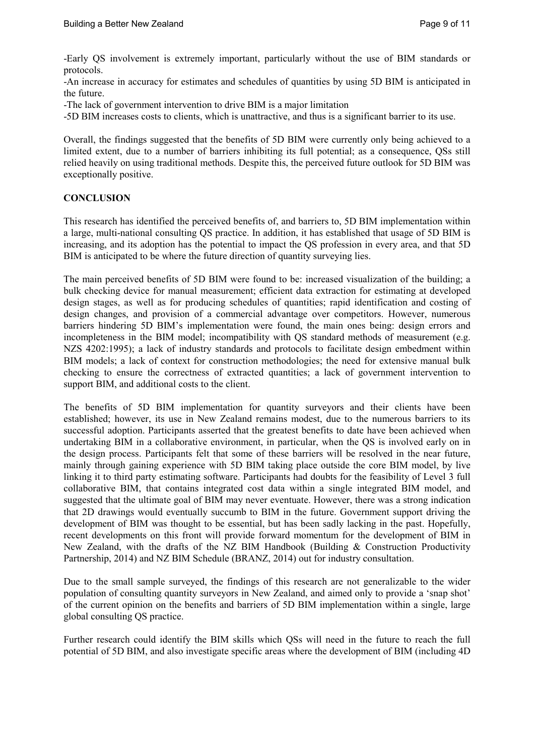-Early QS involvement is extremely important, particularly without the use of BIM standards or protocols.

-An increase in accuracy for estimates and schedules of quantities by using 5D BIM is anticipated in the future.

-The lack of government intervention to drive BIM is a major limitation

-5D BIM increases costs to clients, which is unattractive, and thus is a significant barrier to its use.

Overall, the findings suggested that the benefits of 5D BIM were currently only being achieved to a limited extent, due to a number of barriers inhibiting its full potential; as a consequence, QSs still relied heavily on using traditional methods. Despite this, the perceived future outlook for 5D BIM was exceptionally positive.

# **CONCLUSION**

This research has identified the perceived benefits of, and barriers to, 5D BIM implementation within a large, multi-national consulting QS practice. In addition, it has established that usage of 5D BIM is increasing, and its adoption has the potential to impact the QS profession in every area, and that 5D BIM is anticipated to be where the future direction of quantity surveying lies.

The main perceived benefits of 5D BIM were found to be: increased visualization of the building; a bulk checking device for manual measurement; efficient data extraction for estimating at developed design stages, as well as for producing schedules of quantities; rapid identification and costing of design changes, and provision of a commercial advantage over competitors. However, numerous barriers hindering 5D BIM's implementation were found, the main ones being: design errors and incompleteness in the BIM model; incompatibility with QS standard methods of measurement (e.g. NZS 4202:1995); a lack of industry standards and protocols to facilitate design embedment within BIM models; a lack of context for construction methodologies; the need for extensive manual bulk checking to ensure the correctness of extracted quantities; a lack of government intervention to support BIM, and additional costs to the client.

The benefits of 5D BIM implementation for quantity surveyors and their clients have been established; however, its use in New Zealand remains modest, due to the numerous barriers to its successful adoption. Participants asserted that the greatest benefits to date have been achieved when undertaking BIM in a collaborative environment, in particular, when the QS is involved early on in the design process. Participants felt that some of these barriers will be resolved in the near future, mainly through gaining experience with 5D BIM taking place outside the core BIM model, by live linking it to third party estimating software. Participants had doubts for the feasibility of Level 3 full collaborative BIM, that contains integrated cost data within a single integrated BIM model, and suggested that the ultimate goal of BIM may never eventuate. However, there was a strong indication that 2D drawings would eventually succumb to BIM in the future. Government support driving the development of BIM was thought to be essential, but has been sadly lacking in the past. Hopefully, recent developments on this front will provide forward momentum for the development of BIM in New Zealand, with the drafts of the NZ BIM Handbook (Building & Construction Productivity Partnership, 2014) and NZ BIM Schedule (BRANZ, 2014) out for industry consultation.

Due to the small sample surveyed, the findings of this research are not generalizable to the wider population of consulting quantity surveyors in New Zealand, and aimed only to provide a 'snap shot' of the current opinion on the benefits and barriers of 5D BIM implementation within a single, large global consulting QS practice.

Further research could identify the BIM skills which QSs will need in the future to reach the full potential of 5D BIM, and also investigate specific areas where the development of BIM (including 4D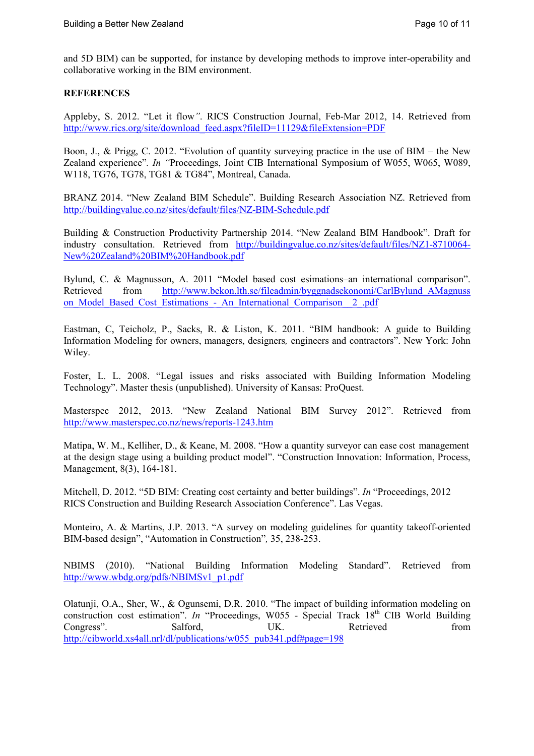and 5D BIM) can be supported, for instance by developing methods to improve inter-operability and collaborative working in the BIM environment.

# **REFERENCES**

Appleby, S. 2012. "Let it flow*"*. RICS Construction Journal, Feb-Mar 2012, 14. Retrieved from http://www.rics.org/site/download\_feed.aspx?fileID=11129&fileExtension=PDF

Boon, J., & Prigg, C. 2012. "Evolution of quantity surveying practice in the use of BIM – the New Zealand experience"*. In "*Proceedings, Joint CIB International Symposium of W055, W065, W089, W118, TG76, TG78, TG81 & TG84", Montreal, Canada.

BRANZ 2014. "New Zealand BIM Schedule". Building Research Association NZ. Retrieved from http://buildingvalue.co.nz/sites/default/files/NZ-BIM-Schedule.pdf

Building & Construction Productivity Partnership 2014. "New Zealand BIM Handbook". Draft for industry consultation. Retrieved from http://buildingvalue.co.nz/sites/default/files/NZ1-8710064- New%20Zealand%20BIM%20Handbook.pdf

Bylund, C. & Magnusson, A. 2011 "Model based cost esimations–an international comparison". Retrieved from http://www.bekon.lth.se/fileadmin/byggnadsekonomi/CarlBylund AMagnuss on Model Based Cost Estimations - An International Comparison 2 .pdf

Eastman, C, Teicholz, P., Sacks, R. & Liston, K. 2011. "BIM handbook: A guide to Building Information Modeling for owners, managers, designers*,* engineers and contractors". New York: John Wiley.

Foster, L. L. 2008. "Legal issues and risks associated with Building Information Modeling Technology". Master thesis (unpublished). University of Kansas: ProQuest.

Masterspec 2012, 2013. "New Zealand National BIM Survey 2012". Retrieved from http://www.masterspec.co.nz/news/reports-1243.htm

Matipa, W. M., Kelliher, D., & Keane, M. 2008. "How a quantity surveyor can ease cost management at the design stage using a building product model". "Construction Innovation: Information, Process, Management, 8(3), 164-181.

Mitchell, D. 2012. "5D BIM: Creating cost certainty and better buildings". *In* "Proceedings, 2012 RICS Construction and Building Research Association Conference". Las Vegas.

Monteiro, A. & Martins, J.P. 2013. "A survey on modeling guidelines for quantity takeoff-oriented BIM-based design", "Automation in Construction"*,* 35, 238-253.

NBIMS (2010). "National Building Information Modeling Standard". Retrieved from http://www.wbdg.org/pdfs/NBIMSv1\_p1.pdf

Olatunji, O.A., Sher, W., & Ogunsemi, D.R. 2010. "The impact of building information modeling on construction cost estimation". *In* "Proceedings, W055 - Special Track 18<sup>th</sup> CIB World Building Congress". Salford, UK. Retrieved from http://cibworld.xs4all.nrl/dl/publications/w055\_pub341.pdf#page=198